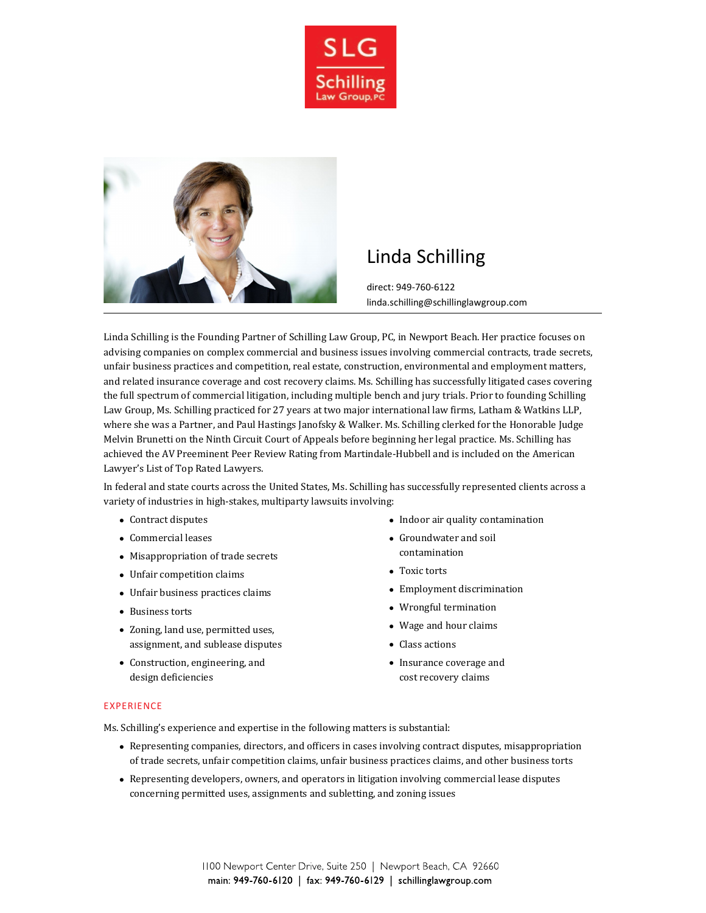



# Linda Schilling

direct: 949-760-6122 linda.schilling@schillinglawgroup.com

Linda Schilling is the Founding Partner of Schilling Law Group, PC, in Newport Beach. Her practice focuses on advising companies on complex commercial and business issues involving commercial contracts, trade secrets, unfair business practices and competition, real estate, construction, environmental and employment matters, and related insurance coverage and cost recovery claims. Ms. Schilling has successfully litigated cases covering the full spectrum of commercial litigation, including multiple bench and jury trials. Prior to founding Schilling Law Group, Ms. Schilling practiced for 27 years at two major international law firms, Latham & Watkins LLP, where she was a Partner, and Paul Hastings Janofsky & Walker. Ms. Schilling clerked for the Honorable Judge Melvin Brunetti on the Ninth Circuit Court of Appeals before beginning her legal practice. Ms. Schilling has achieved the AV Preeminent Peer Review Rating from Martindale-Hubbell and is included on the American Lawyer's List of Top Rated Lawyers.

In federal and state courts across the United States, Ms. Schilling has successfully represented clients across a variety of industries in high-stakes, multiparty lawsuits involving:

- Contract disputes
- Commercial leases
- Misappropriation of trade secrets
- Unfair competition claims
- Unfair business practices claims
- Business torts
- Zoning, land use, permitted uses, assignment, and sublease disputes
- Construction, engineering, and design deficiencies
- Indoor air quality contamination
- Groundwater and soil contamination
- Toxic torts
- Employment discrimination
- Wrongful termination
- Wage and hour claims
- Class actions
- Insurance coverage and cost recovery claims

#### EXPERIENCE

Ms. Schilling's experience and expertise in the following matters is substantial:

- Representing companies, directors, and officers in cases involving contract disputes, misappropriation of trade secrets, unfair competition claims, unfair business practices claims, and other business torts
- Representing developers, owners, and operators in litigation involving commercial lease disputes concerning permitted uses, assignments and subletting, and zoning issues